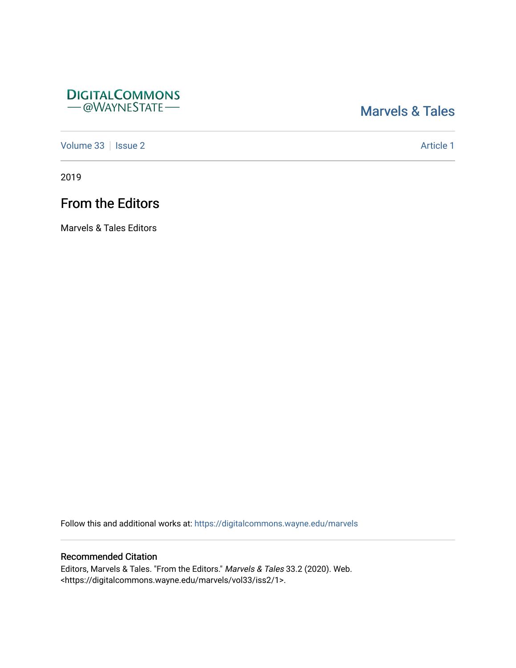### **DIGITALCOMMONS** - @WAYNESTATE-

## [Marvels & Tales](https://digitalcommons.wayne.edu/marvels)

[Volume 33](https://digitalcommons.wayne.edu/marvels/vol33) | [Issue 2](https://digitalcommons.wayne.edu/marvels/vol33/iss2) Article 1

2019

# From the Editors

Marvels & Tales Editors

Follow this and additional works at: [https://digitalcommons.wayne.edu/marvels](https://digitalcommons.wayne.edu/marvels?utm_source=digitalcommons.wayne.edu%2Fmarvels%2Fvol33%2Fiss2%2F1&utm_medium=PDF&utm_campaign=PDFCoverPages) 

### Recommended Citation

Editors, Marvels & Tales. "From the Editors." Marvels & Tales 33.2 (2020). Web. <https://digitalcommons.wayne.edu/marvels/vol33/iss2/1>.